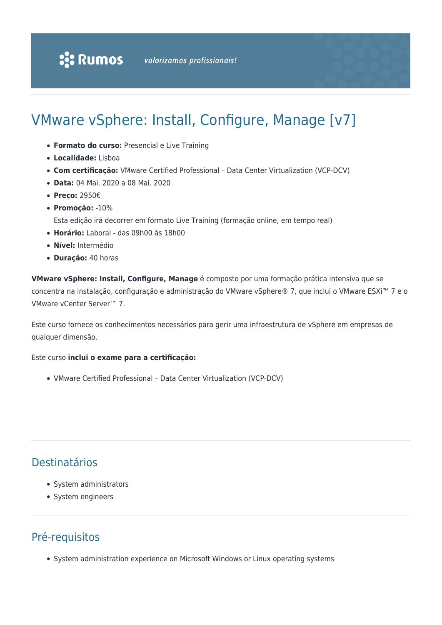# VMware vSphere: Install, Configure, Manage [v7]

- **Formato do curso:** Presencial e Live Training
- **Localidade:** Lisboa
- **Com certificação:** VMware Certified Professional Data Center Virtualization (VCP-DCV)
- **Data:** 04 Mai. 2020 a 08 Mai. 2020
- **Preço:** 2950€
- **Promoção:** -10% Esta edição irá decorrer em formato Live Training (formação online, em tempo real)
- **Horário:** Laboral das 09h00 às 18h00
- **Nível:** Intermédio
- **Duração:** 40 horas

**VMware vSphere: Install, Configure, Manage** é composto por uma formação prática intensiva que se concentra na instalação, configuração e administração do VMware vSphere® 7, que inclui o VMware ESXi™ 7 e o VMware vCenter Server™ 7.

Este curso fornece os conhecimentos necessários para gerir uma infraestrutura de vSphere em empresas de qualquer dimensão.

#### Este curso **inclui o exame para a certificação:**

VMware Certified Professional – Data Center Virtualization (VCP-DCV)

# Destinatários

- System administrators
- System engineers

## Pré-requisitos

• System administration experience on Microsoft Windows or Linux operating systems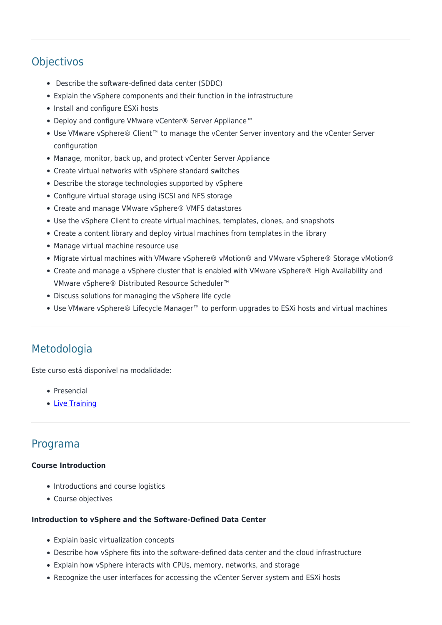# **Objectivos**

- Describe the software-defined data center (SDDC)
- Explain the vSphere components and their function in the infrastructure
- Install and configure ESXi hosts
- Deploy and configure VMware vCenter® Server Appliance™
- Use VMware vSphere® Client™ to manage the vCenter Server inventory and the vCenter Server configuration
- Manage, monitor, back up, and protect vCenter Server Appliance
- Create virtual networks with vSphere standard switches
- Describe the storage technologies supported by vSphere
- Configure virtual storage using iSCSI and NFS storage
- Create and manage VMware vSphere® VMFS datastores
- Use the vSphere Client to create virtual machines, templates, clones, and snapshots
- Create a content library and deploy virtual machines from templates in the library
- Manage virtual machine resource use
- Migrate virtual machines with VMware vSphere® vMotion® and VMware vSphere® Storage vMotion®
- Create and manage a vSphere cluster that is enabled with VMware vSphere® High Availability and VMware vSphere® Distributed Resource Scheduler™
- Discuss solutions for managing the vSphere life cycle
- Use VMware vSphere® Lifecycle Manager™ to perform upgrades to ESXi hosts and virtual machines

### Metodologia

Este curso está disponível na modalidade:

- Presencial
- [Live Training](https://rumos.pt/formacao/rumos-live-training/)

### Programa

#### **Course Introduction**

- Introductions and course logistics
- Course objectives

#### **Introduction to vSphere and the Software-Defined Data Center**

- Explain basic virtualization concepts
- Describe how vSphere fits into the software-defined data center and the cloud infrastructure
- Explain how vSphere interacts with CPUs, memory, networks, and storage
- Recognize the user interfaces for accessing the vCenter Server system and ESXi hosts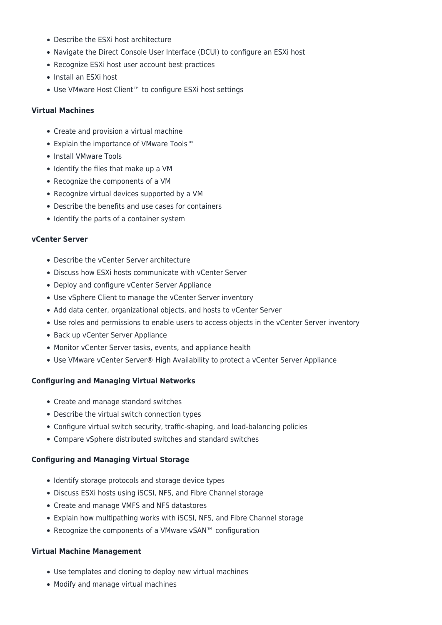- Describe the ESXi host architecture
- Navigate the Direct Console User Interface (DCUI) to configure an ESXi host
- Recognize ESXi host user account best practices
- Install an ESXi host
- Use VMware Host Client™ to configure ESXi host settings

#### **Virtual Machines**

- Create and provision a virtual machine
- Explain the importance of VMware Tools™
- Install VMware Tools
- Identify the files that make up a VM
- Recognize the components of a VM
- Recognize virtual devices supported by a VM
- Describe the benefits and use cases for containers
- Identify the parts of a container system

#### **vCenter Server**

- Describe the vCenter Server architecture
- Discuss how ESXi hosts communicate with vCenter Server
- Deploy and configure vCenter Server Appliance
- Use vSphere Client to manage the vCenter Server inventory
- Add data center, organizational objects, and hosts to vCenter Server
- Use roles and permissions to enable users to access objects in the vCenter Server inventory
- Back up vCenter Server Appliance
- Monitor vCenter Server tasks, events, and appliance health
- Use VMware vCenter Server® High Availability to protect a vCenter Server Appliance

#### **Configuring and Managing Virtual Networks**

- Create and manage standard switches
- Describe the virtual switch connection types
- Configure virtual switch security, traffic-shaping, and load-balancing policies
- Compare vSphere distributed switches and standard switches

#### **Configuring and Managing Virtual Storage**

- Identify storage protocols and storage device types
- Discuss ESXi hosts using iSCSI, NFS, and Fibre Channel storage
- Create and manage VMFS and NFS datastores
- Explain how multipathing works with iSCSI, NFS, and Fibre Channel storage
- Recognize the components of a VMware vSAN™ configuration

#### **Virtual Machine Management**

- Use templates and cloning to deploy new virtual machines
- Modify and manage virtual machines